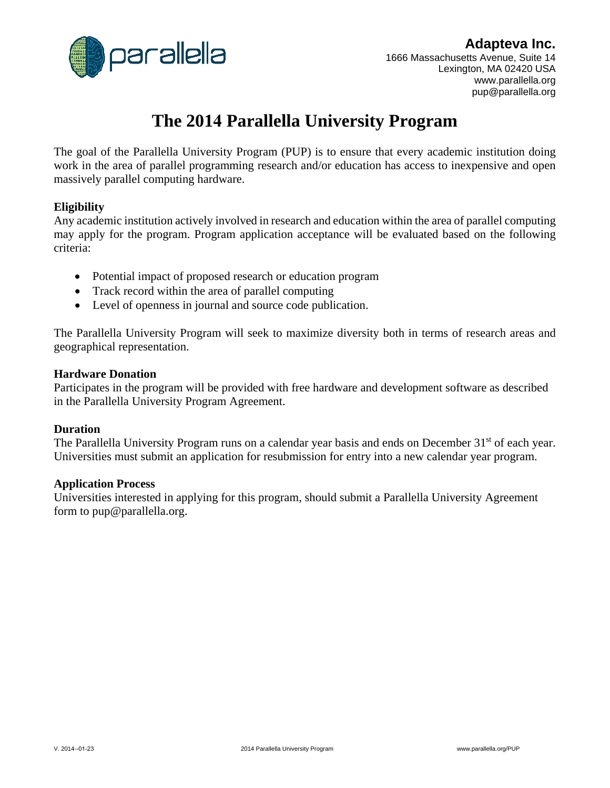

### **Adapteva Inc.**

1666 Massachusetts Avenue, Suite 14 Lexington, MA 02420 USA www.parallella.org pup@parallella.org

## **The 2014 Parallella University Program**

The goal of the Parallella University Program (PUP) is to ensure that every academic institution doing work in the area of parallel programming research and/or education has access to inexpensive and open massively parallel computing hardware.

#### **Eligibility**

Any academic institution actively involved in research and education within the area of parallel computing may apply for the program. Program application acceptance will be evaluated based on the following criteria:

- Potential impact of proposed research or education program
- Track record within the area of parallel computing
- Level of openness in journal and source code publication.

The Parallella University Program will seek to maximize diversity both in terms of research areas and geographical representation.

#### **Hardware Donation**

Participates in the program will be provided with free hardware and development software as described in the Parallella University Program Agreement.

#### **Duration**

The Parallella University Program runs on a calendar year basis and ends on December 31<sup>st</sup> of each year. Universities must submit an application for resubmission for entry into a new calendar year program.

#### **Application Process**

Universities interested in applying for this program, should submit a Parallella University Agreement form to pup@parallella.org.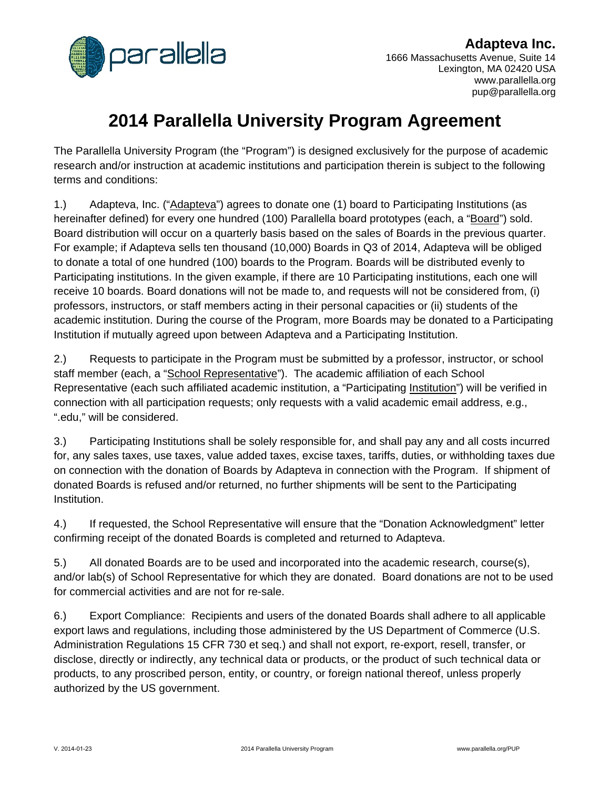

**Adapteva Inc.** 1666 Massachusetts Avenue, Suite 14 Lexington, MA 02420 USA www.parallella.org pup@parallella.org

# **2014 Parallella University Program Agreement**

The Parallella University Program (the "Program") is designed exclusively for the purpose of academic research and/or instruction at academic institutions and participation therein is subject to the following terms and conditions:

1.) Adapteva, Inc. ("Adapteva") agrees to donate one (1) board to Participating Institutions (as hereinafter defined) for every one hundred (100) Parallella board prototypes (each, a "Board") sold. Board distribution will occur on a quarterly basis based on the sales of Boards in the previous quarter. For example; if Adapteva sells ten thousand (10,000) Boards in Q3 of 2014, Adapteva will be obliged to donate a total of one hundred (100) boards to the Program. Boards will be distributed evenly to Participating institutions. In the given example, if there are 10 Participating institutions, each one will receive 10 boards. Board donations will not be made to, and requests will not be considered from, (i) professors, instructors, or staff members acting in their personal capacities or (ii) students of the academic institution. During the course of the Program, more Boards may be donated to a Participating Institution if mutually agreed upon between Adapteva and a Participating Institution.

2.) Requests to participate in the Program must be submitted by a professor, instructor, or school staff member (each, a "School Representative"). The academic affiliation of each School Representative (each such affiliated academic institution, a "Participating Institution") will be verified in connection with all participation requests; only requests with a valid academic email address, e.g., ".edu," will be considered.

3.) Participating Institutions shall be solely responsible for, and shall pay any and all costs incurred for, any sales taxes, use taxes, value added taxes, excise taxes, tariffs, duties, or withholding taxes due on connection with the donation of Boards by Adapteva in connection with the Program. If shipment of donated Boards is refused and/or returned, no further shipments will be sent to the Participating Institution.

4.) If requested, the School Representative will ensure that the "Donation Acknowledgment" letter confirming receipt of the donated Boards is completed and returned to Adapteva.

5.) All donated Boards are to be used and incorporated into the academic research, course(s), and/or lab(s) of School Representative for which they are donated. Board donations are not to be used for commercial activities and are not for re-sale.

6.) Export Compliance: Recipients and users of the donated Boards shall adhere to all applicable export laws and regulations, including those administered by the US Department of Commerce (U.S. Administration Regulations 15 CFR 730 et seq.) and shall not export, re-export, resell, transfer, or disclose, directly or indirectly, any technical data or products, or the product of such technical data or products, to any proscribed person, entity, or country, or foreign national thereof, unless properly authorized by the US government.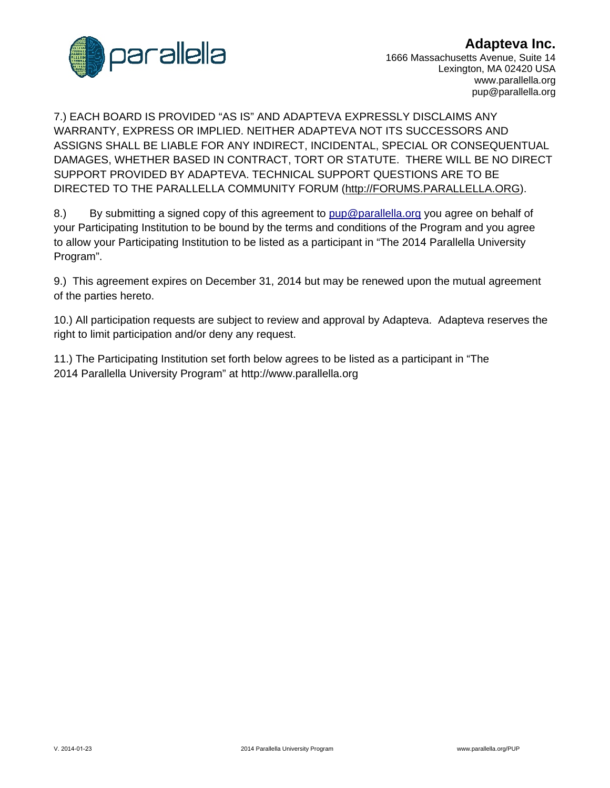

### **Adapteva Inc.**

1666 Massachusetts Avenue, Suite 14 Lexington, MA 02420 USA www.parallella.org pup@parallella.org

7.) EACH BOARD IS PROVIDED "AS IS" AND ADAPTEVA EXPRESSLY DISCLAIMS ANY WARRANTY, EXPRESS OR IMPLIED. NEITHER ADAPTEVA NOT ITS SUCCESSORS AND ASSIGNS SHALL BE LIABLE FOR ANY INDIRECT, INCIDENTAL, SPECIAL OR CONSEQUENTUAL DAMAGES, WHETHER BASED IN CONTRACT, TORT OR STATUTE. THERE WILL BE NO DIRECT SUPPORT PROVIDED BY ADAPTEVA. TECHNICAL SUPPORT QUESTIONS ARE TO BE DIRECTED TO THE PARALLELLA COMMUNITY FORUM (http://FORUMS.PARALLELLA.ORG).

8.) By submitting a signed copy of this agreement to pup@parallella.org you agree on behalf of your Participating Institution to be bound by the terms and conditions of the Program and you agree to allow your Participating Institution to be listed as a participant in "The 2014 Parallella University Program".

9.) This agreement expires on December 31, 2014 but may be renewed upon the mutual agreement of the parties hereto.

10.) All participation requests are subject to review and approval by Adapteva. Adapteva reserves the right to limit participation and/or deny any request.

11.) The Participating Institution set forth below agrees to be listed as a participant in "The 2014 Parallella University Program" at http://www.parallella.org